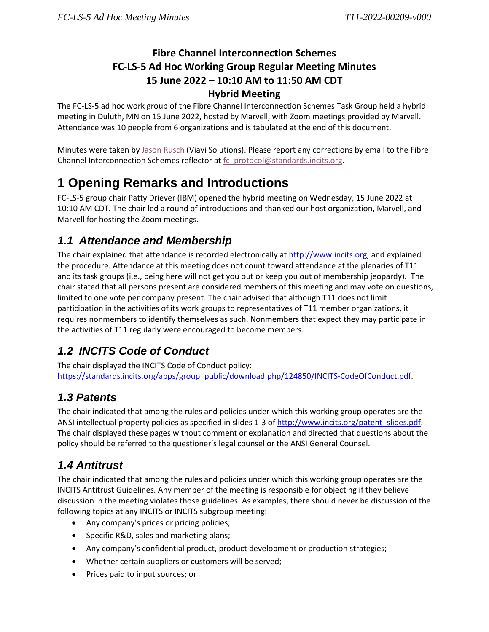#### **Fibre Channel Interconnection Schemes FC-LS-5 Ad Hoc Working Group Regular Meeting Minutes 15 June 2022 – 10:10 AM to 11:50 AM CDT Hybrid Meeting**

The FC-LS-5 ad hoc work group of the Fibre Channel Interconnection Schemes Task Group held a hybrid meeting in Duluth, MN on 15 June 2022, hosted by Marvell, with Zoom meetings provided by Marvell. Attendance was 10 people from 6 organizations and is tabulated at the end of this document.

Minutes were taken b[y Jason Rusch](mailto:jason.rusch@viavisolutions.com) (Viavi Solutions). Please report any corrections by email to the Fibre Channel Interconnection Schemes reflector at [fc\\_protocol@standards.incits.org.](mailto:fc_protocol@standards.incits.org)

# **1 Opening Remarks and Introductions**

FC-LS-5 group chair Patty Driever (IBM) opened the hybrid meeting on Wednesday, 15 June 2022 at 10:10 AM CDT. The chair led a round of introductions and thanked our host organization, Marvell, and Marvell for hosting the Zoom meetings.

### *1.1 Attendance and Membership*

The chair explained that attendance is recorded electronically at [http://www.incits.org,](http://www.incits.org/) and explained the procedure. Attendance at this meeting does not count toward attendance at the plenaries of T11 and its task groups (i.e., being here will not get you out or keep you out of membership jeopardy). The chair stated that all persons present are considered members of this meeting and may vote on questions, limited to one vote per company present. The chair advised that although T11 does not limit participation in the activities of its work groups to representatives of T11 member organizations, it requires nonmembers to identify themselves as such. Nonmembers that expect they may participate in the activities of T11 regularly were encouraged to become members.

## *1.2 INCITS Code of Conduct*

The chair displayed the INCITS Code of Conduct policy: [https://standards.incits.org/apps/group\\_public/download.php/124850/INCITS-CodeOfConduct.pdf.](https://standards.incits.org/apps/group_public/download.php/124850/eb-2020-00772-INCITS%20Code%20of%20Conduct.pdf)

## *1.3 Patents*

The chair indicated that among the rules and policies under which this working group operates are the ANSI intellectual property policies as specified in slides 1-3 of [http://www.incits.org/patent\\_slides.pdf.](http://www.incits.org/dotAsset/63b6e457-53b9-4933-9835-7c74e77ca2fd.pdf) The chair displayed these pages without comment or explanation and directed that questions about the policy should be referred to the questioner's legal counsel or the ANSI General Counsel.

# *1.4 Antitrust*

The chair indicated that among the rules and policies under which this working group operates are the INCITS Antitrust Guidelines. Any member of the meeting is responsible for objecting if they believe discussion in the meeting violates those guidelines. As examples, there should never be discussion of the following topics at any INCITS or INCITS subgroup meeting:

- Any company's prices or pricing policies;
- Specific R&D, sales and marketing plans;
- Any company's confidential product, product development or production strategies;
- Whether certain suppliers or customers will be served;
- Prices paid to input sources; or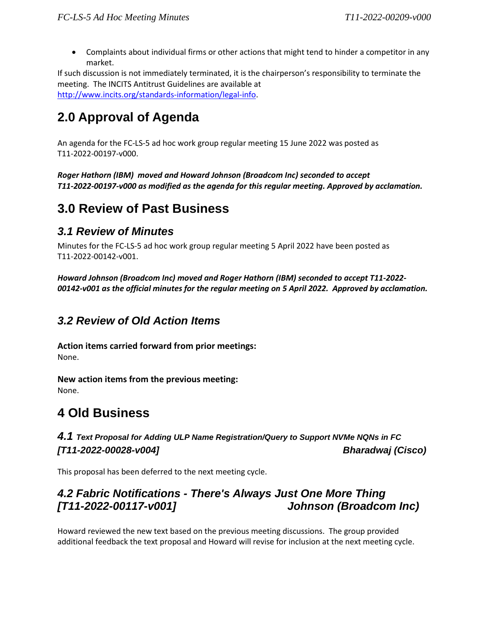• Complaints about individual firms or other actions that might tend to hinder a competitor in any market.

If such discussion is not immediately terminated, it is the chairperson's responsibility to terminate the meeting. The INCITS Antitrust Guidelines are available at [http://www.incits.org/standards-information/legal-info.](http://www.incits.org/standards-information/legal-info)

# **2.0 Approval of Agenda**

An agenda for the FC-LS-5 ad hoc work group regular meeting 15 June 2022 was posted as T11-2022-00197-v000.

*Roger Hathorn (IBM) moved and Howard Johnson (Broadcom Inc) seconded to accept T11-2022-00197-v000 as modified as the agenda for this regular meeting. Approved by acclamation.*

## **3.0 Review of Past Business**

#### *3.1 Review of Minutes*

Minutes for the FC-LS-5 ad hoc work group regular meeting 5 April 2022 have been posted as T11-2022-00142-v001.

*Howard Johnson (Broadcom Inc) moved and Roger Hathorn (IBM) seconded to accept T11-2022- 00142-v001 as the official minutes for the regular meeting on 5 April 2022. Approved by acclamation.*

#### *3.2 Review of Old Action Items*

**Action items carried forward from prior meetings:**  None.

**New action items from the previous meeting:**  None.

# **4 Old Business**

*4.1 Text Proposal for Adding ULP Name Registration/Query to Support NVMe NQNs in FC [T11-2022-00028-v004] Bharadwaj (Cisco)*

This proposal has been deferred to the next meeting cycle.

#### *4.2 Fabric Notifications - There's Always Just One More Thing [T11-2022-00117-v001] Johnson (Broadcom Inc)*

Howard reviewed the new text based on the previous meeting discussions. The group provided additional feedback the text proposal and Howard will revise for inclusion at the next meeting cycle.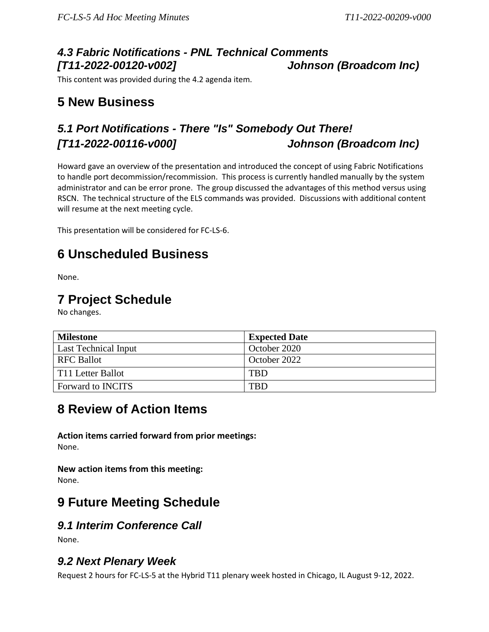#### *4.3 Fabric Notifications - PNL Technical Comments [T11-2022-00120-v002] Johnson (Broadcom Inc)*

This content was provided during the 4.2 agenda item.

# **5 New Business**

## *5.1 Port Notifications - There "Is" Somebody Out There! [T11-2022-00116-v000] Johnson (Broadcom Inc)*

Howard gave an overview of the presentation and introduced the concept of using Fabric Notifications to handle port decommission/recommission. This process is currently handled manually by the system administrator and can be error prone. The group discussed the advantages of this method versus using RSCN. The technical structure of the ELS commands was provided. Discussions with additional content will resume at the next meeting cycle.

This presentation will be considered for FC-LS-6.

# **6 Unscheduled Business**

None.

### **7 Project Schedule**

No changes.

| <b>Milestone</b>         | <b>Expected Date</b> |
|--------------------------|----------------------|
| Last Technical Input     | October 2020         |
| <b>RFC Ballot</b>        | October 2022         |
| T11 Letter Ballot        | <b>TBD</b>           |
| <b>Forward to INCITS</b> | <b>TBD</b>           |

## **8 Review of Action Items**

**Action items carried forward from prior meetings:**  None.

**New action items from this meeting:**  None.

## **9 Future Meeting Schedule**

#### *9.1 Interim Conference Call*

None.

#### *9.2 Next Plenary Week*

Request 2 hours for FC-LS-5 at the Hybrid T11 plenary week hosted in Chicago, IL August 9-12, 2022.